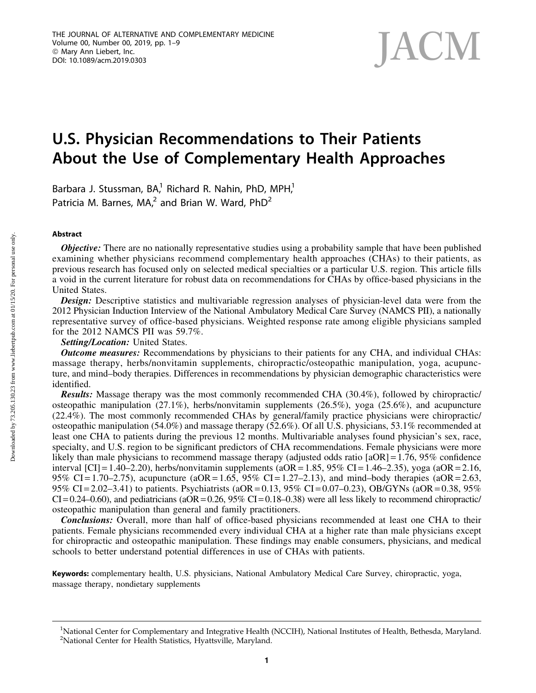# **JACM**

# U.S. Physician Recommendations to Their Patients About the Use of Complementary Health Approaches

Barbara J. Stussman, BA,<sup>1</sup> Richard R. Nahin, PhD, MPH,<sup>1</sup> Patricia M. Barnes, MA, $^2$  and Brian W. Ward, PhD<sup>2</sup>

# Abstract

**Objective:** There are no nationally representative studies using a probability sample that have been published examining whether physicians recommend complementary health approaches (CHAs) to their patients, as previous research has focused only on selected medical specialties or a particular U.S. region. This article fills a void in the current literature for robust data on recommendations for CHAs by office-based physicians in the United States.

Design: Descriptive statistics and multivariable regression analyses of physician-level data were from the 2012 Physician Induction Interview of the National Ambulatory Medical Care Survey (NAMCS PII), a nationally representative survey of office-based physicians. Weighted response rate among eligible physicians sampled for the 2012 NAMCS PII was 59.7%.

Setting/Location: United States.

**Outcome measures:** Recommendations by physicians to their patients for any CHA, and individual CHAs: massage therapy, herbs/nonvitamin supplements, chiropractic/osteopathic manipulation, yoga, acupuncture, and mind–body therapies. Differences in recommendations by physician demographic characteristics were identified.

Results: Massage therapy was the most commonly recommended CHA (30.4%), followed by chiropractic/ osteopathic manipulation (27.1%), herbs/nonvitamin supplements (26.5%), yoga (25.6%), and acupuncture (22.4%). The most commonly recommended CHAs by general/family practice physicians were chiropractic/ osteopathic manipulation (54.0%) and massage therapy (52.6%). Of all U.S. physicians, 53.1% recommended at least one CHA to patients during the previous 12 months. Multivariable analyses found physician's sex, race, specialty, and U.S. region to be significant predictors of CHA recommendations. Female physicians were more likely than male physicians to recommend massage therapy (adjusted odds ratio [aOR] = 1.76, 95% confidence interval  $\text{[CI]} = 1.40 - 2.20$ , herbs/nonvitamin supplements (aOR = 1.85, 95% CI = 1.46–2.35), yoga (aOR = 2.16, 95% CI = 1.70–2.75), acupuncture (aOR = 1.65, 95% CI = 1.27–2.13), and mind–body therapies (aOR = 2.63, 95% CI = 2.02–3.41) to patients. Psychiatrists (aOR = 0.13, 95% CI = 0.07–0.23), OB/GYNs (aOR = 0.38, 95%  $CI = 0.24-0.60$ , and pediatricians (aOR = 0.26, 95% CI = 0.18–0.38) were all less likely to recommend chiropractic/ osteopathic manipulation than general and family practitioners.

Conclusions: Overall, more than half of office-based physicians recommended at least one CHA to their patients. Female physicians recommended every individual CHA at a higher rate than male physicians except for chiropractic and osteopathic manipulation. These findings may enable consumers, physicians, and medical schools to better understand potential differences in use of CHAs with patients.

Keywords: complementary health, U.S. physicians, National Ambulatory Medical Care Survey, chiropractic, yoga, massage therapy, nondietary supplements

<sup>&</sup>lt;sup>1</sup>National Center for Complementary and Integrative Health (NCCIH), National Institutes of Health, Bethesda, Maryland. <sup>2</sup>National Center for Health Statistics, Hyattsville, Maryland.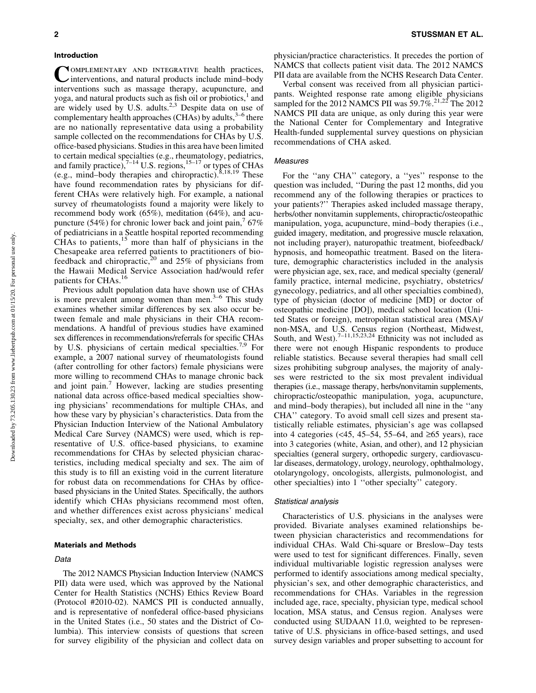#### Introduction

COMPLEMENTARY AND INTEGRATIVE health practices, interventions, and natural products include mind–body interventions such as massage therapy, acupuncture, and yoga, and natural products such as fish oil or probiotics, $<sup>1</sup>$  and</sup> are widely used by U.S. adults. $2,3$  Despite data on use of complementary health approaches (CHAs) by adults,  $3-6$  there are no nationally representative data using a probability sample collected on the recommendations for CHAs by U.S. office-based physicians. Studies in this area have been limited to certain medical specialties (e.g., rheumatology, pediatrics, and family practice), $7^{-14}$  U.S. regions,  $15^{-17}$  or types of CHAs (e.g., mind–body therapies and chiropractic).8,18,19 These have found recommendation rates by physicians for different CHAs were relatively high. For example, a national survey of rheumatologists found a majority were likely to recommend body work (65%), meditation (64%), and acupuncture (54%) for chronic lower back and joint pain,  $67\%$ of pediatricians in a Seattle hospital reported recommending CHAs to patients, $15$  more than half of physicians in the Chesapeake area referred patients to practitioners of biofeedback and chiropractic,<sup>20</sup> and  $25\%$  of physicians from the Hawaii Medical Service Association had/would refer patients for CHAs.<sup>16</sup>

Previous adult population data have shown use of CHAs is more prevalent among women than men. $3-6$  This study examines whether similar differences by sex also occur between female and male physicians in their CHA recommendations. A handful of previous studies have examined sex differences in recommendations/referrals for specific CHAs by U.S. physicians of certain medical specialties.<sup>7,9</sup> For example, a 2007 national survey of rheumatologists found (after controlling for other factors) female physicians were more willing to recommend CHAs to manage chronic back and joint pain.<sup>7</sup> However, lacking are studies presenting national data across office-based medical specialties showing physicians' recommendations for multiple CHAs, and how these vary by physician's characteristics. Data from the Physician Induction Interview of the National Ambulatory Medical Care Survey (NAMCS) were used, which is representative of U.S. office-based physicians, to examine recommendations for CHAs by selected physician characteristics, including medical specialty and sex. The aim of this study is to fill an existing void in the current literature for robust data on recommendations for CHAs by officebased physicians in the United States. Specifically, the authors identify which CHAs physicians recommend most often, and whether differences exist across physicians' medical specialty, sex, and other demographic characteristics.

#### Materials and Methods

# Data

The 2012 NAMCS Physician Induction Interview (NAMCS PII) data were used, which was approved by the National Center for Health Statistics (NCHS) Ethics Review Board (Protocol #2010-02). NAMCS PII is conducted annually, and is representative of nonfederal office-based physicians in the United States (i.e., 50 states and the District of Columbia). This interview consists of questions that screen for survey eligibility of the physician and collect data on physician/practice characteristics. It precedes the portion of NAMCS that collects patient visit data. The 2012 NAMCS PII data are available from the NCHS Research Data Center.

Verbal consent was received from all physician participants. Weighted response rate among eligible physicians sampled for the 2012 NAMCS PII was  $59.7\%$ <sup>21,22</sup> The 2012 NAMCS PII data are unique, as only during this year were the National Center for Complementary and Integrative Health-funded supplemental survey questions on physician recommendations of CHA asked.

#### Measures

For the ''any CHA'' category, a ''yes'' response to the question was included, ''During the past 12 months, did you recommend any of the following therapies or practices to your patients?'' Therapies asked included massage therapy, herbs/other nonvitamin supplements, chiropractic/osteopathic manipulation, yoga, acupuncture, mind–body therapies (i.e., guided imagery, meditation, and progressive muscle relaxation, not including prayer), naturopathic treatment, biofeedback/ hypnosis, and homeopathic treatment. Based on the literature, demographic characteristics included in the analysis were physician age, sex, race, and medical specialty (general/ family practice, internal medicine, psychiatry, obstetrics/ gynecology, pediatrics, and all other specialties combined), type of physician (doctor of medicine [MD] or doctor of osteopathic medicine [DO]), medical school location (United States or foreign), metropolitan statistical area (MSA)/ non-MSA, and U.S. Census region (Northeast, Midwest, South, and West).<sup>7-11,15,23,24</sup> Ethnicity was not included as there were not enough Hispanic respondents to produce reliable statistics. Because several therapies had small cell sizes prohibiting subgroup analyses, the majority of analyses were restricted to the six most prevalent individual therapies (i.e., massage therapy, herbs/nonvitamin supplements, chiropractic/osteopathic manipulation, yoga, acupuncture, and mind–body therapies), but included all nine in the ''any CHA'' category. To avoid small cell sizes and present statistically reliable estimates, physician's age was collapsed into 4 categories  $\left( \langle 45, 45, 55, 64, 55, 64 \rangle \right)$  and  $\geq 65$  years), race into 3 categories (white, Asian, and other), and 12 physician specialties (general surgery, orthopedic surgery, cardiovascular diseases, dermatology, urology, neurology, ophthalmology, otolaryngology, oncologists, allergists, pulmonologist, and other specialties) into 1 ''other specialty'' category.

#### Statistical analysis

Characteristics of U.S. physicians in the analyses were provided. Bivariate analyses examined relationships between physician characteristics and recommendations for individual CHAs. Wald Chi-square or Breslow–Day tests were used to test for significant differences. Finally, seven individual multivariable logistic regression analyses were performed to identify associations among medical specialty, physician's sex, and other demographic characteristics, and recommendations for CHAs. Variables in the regression included age, race, specialty, physician type, medical school location, MSA status, and Census region. Analyses were conducted using SUDAAN 11.0, weighted to be representative of U.S. physicians in office-based settings, and used survey design variables and proper subsetting to account for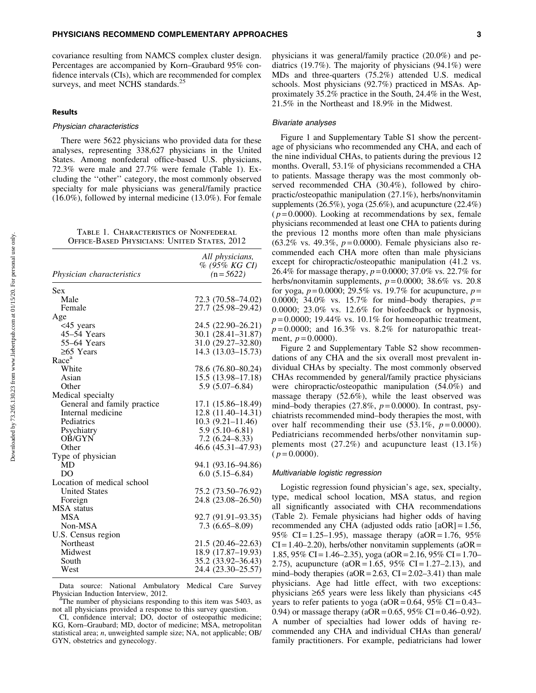covariance resulting from NAMCS complex cluster design. Percentages are accompanied by Korn–Graubard 95% confidence intervals (CIs), which are recommended for complex surveys, and meet NCHS standards.<sup>25</sup>

# Results

#### Physician characteristics

There were 5622 physicians who provided data for these analyses, representing 338,627 physicians in the United States. Among nonfederal office-based U.S. physicians, 72.3% were male and 27.7% were female (Table 1). Excluding the ''other'' category, the most commonly observed specialty for male physicians was general/family practice (16.0%), followed by internal medicine (13.0%). For female

Table 1. Characteristics of Nonfederal Office-Based Physicians: United States, 2012

|                                  | All physicians,      |
|----------------------------------|----------------------|
|                                  | % (95% KG CI)        |
| <i>Physician characteristics</i> | $(n = 5622)$         |
| Sex                              |                      |
| Male                             | 72.3 (70.58–74.02)   |
| Female                           | 27.7 (25.98-29.42)   |
| Age                              |                      |
| <45 years                        | 24.5 (22.90–26.21)   |
| 45-54 Years                      | 30.1 (28.41-31.87)   |
| 55–64 Years                      | 31.0 (29.27-32.80)   |
| $\geq 65$ Years                  | 14.3 (13.03-15.73)   |
| Race <sup>a</sup>                |                      |
| White                            | 78.6 (76.80–80.24)   |
| Asian                            | 15.5 (13.98-17.18)   |
| Other                            | $5.9(5.07 - 6.84)$   |
| Medical specialty                |                      |
| General and family practice      | 17.1 (15.86–18.49)   |
| Internal medicine                | 12.8 (11.40-14.31)   |
| Pediatrics                       | $10.3(9.21 - 11.46)$ |
| Psychiatry                       | $5.9(5.10 - 6.81)$   |
| <b>OB/GYN</b>                    | $7.2(6.24 - 8.33)$   |
| Other                            | 46.6 (45.31–47.93)   |
| Type of physician                |                      |
| MD                               | 94.1 (93.16–94.86)   |
| DO                               | $6.0(5.15 - 6.84)$   |
| Location of medical school       |                      |
| <b>United States</b>             | 75.2 (73.50–76.92)   |
| Foreign                          | 24.8 (23.08–26.50)   |
| <b>MSA</b> status                |                      |
| <b>MSA</b>                       | 92.7 (91.91–93.35)   |
| Non-MSA                          | $7.3(6.65 - 8.09)$   |
| U.S. Census region               |                      |
| Northeast                        | 21.5 (20.46–22.63)   |
| Midwest                          | 18.9 (17.87-19.93)   |
| South                            | 35.2 (33.92-36.43)   |
| West                             | 24.4 (23.30-25.57)   |
|                                  |                      |

Data source: National Ambulatory Medical Care Survey Physician Induction Interview, 2012.

<sup>a</sup>The number of physicians responding to this item was 5403, as not all physicians provided a response to this survey question.

CI, confidence interval; DO, doctor of osteopathic medicine; KG, Korn–Graubard; MD, doctor of medicine; MSA, metropolitan statistical area; *n*, unweighted sample size; NA, not applicable; OB/ GYN, obstetrics and gynecology.

physicians it was general/family practice (20.0%) and pediatrics (19.7%). The majority of physicians (94.1%) were MDs and three-quarters (75.2%) attended U.S. medical schools. Most physicians (92.7%) practiced in MSAs. Approximately 35.2% practice in the South, 24.4% in the West, 21.5% in the Northeast and 18.9% in the Midwest.

#### Bivariate analyses

Figure 1 and Supplementary Table S1 show the percentage of physicians who recommended any CHA, and each of the nine individual CHAs, to patients during the previous 12 months. Overall, 53.1% of physicians recommended a CHA to patients. Massage therapy was the most commonly observed recommended CHA (30.4%), followed by chiropractic/osteopathic manipulation (27.1%), herbs/nonvitamin supplements (26.5%), yoga (25.6%), and acupuncture (22.4%)  $(p=0.0000)$ . Looking at recommendations by sex, female physicians recommended at least one CHA to patients during the previous 12 months more often than male physicians (63.2% vs. 49.3%, *p* = 0.0000). Female physicians also recommended each CHA more often than male physicians except for chiropractic/osteopathic manipulation (41.2 vs. 26.4% for massage therapy, *p* = 0.0000; 37.0% vs. 22.7% for herbs/nonvitamin supplements,  $p=0.0000$ ; 38.6% vs. 20.8 for yoga,  $p = 0.0000$ ; 29.5% vs. 19.7% for acupuncture,  $p =$ 0.0000; 34.0% vs. 15.7% for mind–body therapies,  $p =$ 0.0000; 23.0% vs. 12.6% for biofeedback or hypnosis,  $p = 0.0000$ ; 19.44% vs. 10.1% for homeopathic treatment,  $p=0.0000$ ; and 16.3% vs. 8.2% for naturopathic treatment,  $p = 0.0000$ ).

Figure 2 and Supplementary Table S2 show recommendations of any CHA and the six overall most prevalent individual CHAs by specialty. The most commonly observed CHAs recommended by general/family practice physicians were chiropractic/osteopathic manipulation (54.0%) and massage therapy (52.6%), while the least observed was mind–body therapies  $(27.8\%, p=0.0000)$ . In contrast, psychiatrists recommended mind–body therapies the most, with over half recommending their use  $(53.1\%, p=0.0000)$ . Pediatricians recommended herbs/other nonvitamin supplements most (27.2%) and acupuncture least (13.1%)  $(p=0.0000)$ .

#### Multivariable logistic regression

Logistic regression found physician's age, sex, specialty, type, medical school location, MSA status, and region all significantly associated with CHA recommendations (Table 2). Female physicians had higher odds of having recommended any CHA (adjusted odds ratio [aOR] = 1.56, 95% CI = 1.25–1.95), massage therapy (aOR = 1.76, 95%)  $CI = 1.40 - 2.20$ ), herbs/other nonvitamin supplements (aOR = 1.85, 95% CI = 1.46–2.35), yoga (aOR = 2.16, 95% CI = 1.70– 2.75), acupuncture ( $aOR = 1.65$ ,  $95\%$  CI = 1.27–2.13), and mind–body therapies  $(aOR = 2.63, CI = 2.02-3.41)$  than male physicians. Age had little effect, with two exceptions: physicians  $\geq 65$  years were less likely than physicians  $\lt 45$ years to refer patients to yoga ( $aOR = 0.64$ ,  $95\%$  CI = 0.43– 0.94) or massage therapy ( $aOR = 0.65$ ,  $95\%$  CI = 0.46–0.92). A number of specialties had lower odds of having recommended any CHA and individual CHAs than general/ family practitioners. For example, pediatricians had lower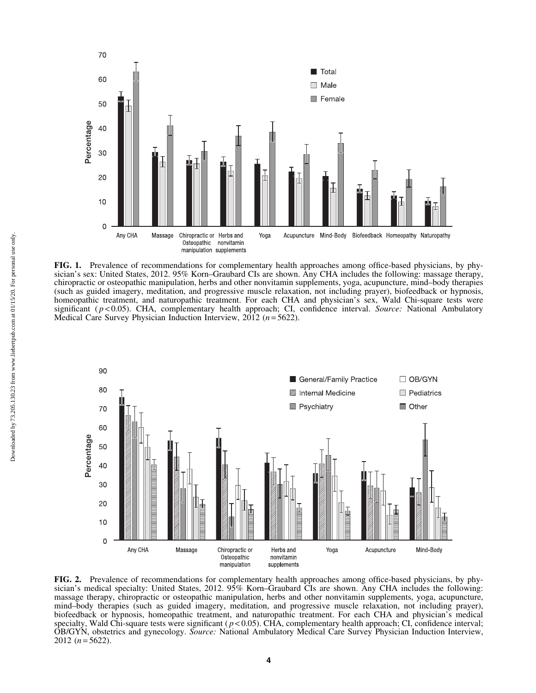

FIG. 1. Prevalence of recommendations for complementary health approaches among office-based physicians, by physician's sex: United States, 2012. 95% Korn–Graubard CIs are shown. Any CHA includes the following: massage therapy, chiropractic or osteopathic manipulation, herbs and other nonvitamin supplements, yoga, acupuncture, mind–body therapies (such as guided imagery, meditation, and progressive muscle relaxation, not including prayer), biofeedback or hypnosis, homeopathic treatment, and naturopathic treatment. For each CHA and physician's sex, Wald Chi-square tests were significant ( *p* < 0.05). CHA, complementary health approach; CI, confidence interval. *Source:* National Ambulatory Medical Care Survey Physician Induction Interview, 2012 (*n* = 5622).



FIG. 2. Prevalence of recommendations for complementary health approaches among office-based physicians, by physician's medical specialty: United States, 2012. 95% Korn–Graubard CIs are shown. Any CHA includes the following: massage therapy, chiropractic or osteopathic manipulation, herbs and other nonvitamin supplements, yoga, acupuncture, mind–body therapies (such as guided imagery, meditation, and progressive muscle relaxation, not including prayer), biofeedback or hypnosis, homeopathic treatment, and naturopathic treatment. For each CHA and physician's medical specialty, Wald Chi-square tests were significant ( $p < 0.05$ ). CHA, complementary health approach; CI, confidence interval; OB/GYN, obstetrics and gynecology. *Source:* National Ambulatory Medical Care Survey Physician Induction Interview, 2012  $(n=5622)$ .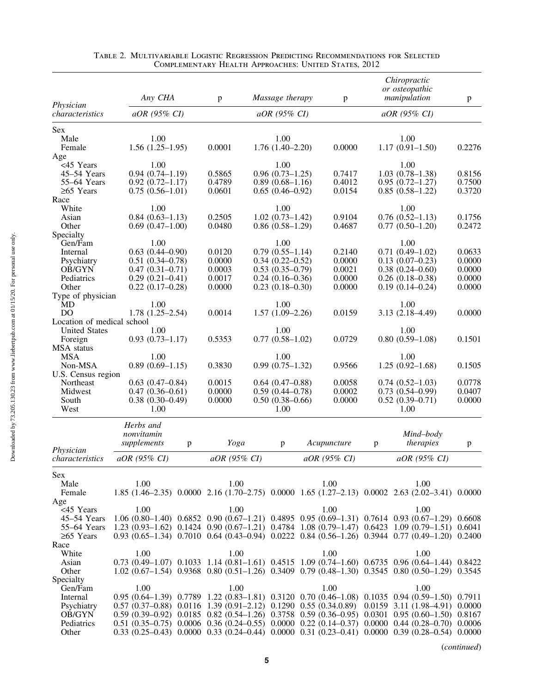| Physician<br>aOR (95% CI)<br>aOR (95% CI)<br>aOR (95% CI)<br>1.00<br>1.00<br>Male<br>1.00<br>$1.56(1.25-1.95)$<br>0.0001<br>0.0000<br>$1.17(0.91 - 1.50)$<br>0.2276<br>Female<br>$1.76(1.40-2.20)$<br><45 Years<br>1.00<br>1.00<br>1.00<br>$0.94(0.74 - 1.19)$<br>$0.96(0.73 - 1.25)$<br>$1.03(0.78-1.38)$<br>45-54 Years<br>0.5865<br>0.7417<br>0.8156<br>0.4789<br>55-64 Years<br>$0.92(0.72 - 1.17)$<br>$0.89(0.68 - 1.16)$<br>0.4012<br>$0.95(0.72 - 1.27)$<br>0.7500<br>$\geq 65$ Years<br>$0.75(0.56-1.01)$<br>0.0601<br>$0.65(0.46-0.92)$<br>0.0154<br>$0.85(0.58-1.22)$<br>0.3720<br>Race<br>White<br>1.00<br>1.00<br>1.00<br>0.2505<br>$1.02(0.73 - 1.42)$<br>$0.76(0.52 - 1.13)$<br>Asian<br>$0.84(0.63 - 1.13)$<br>0.9104<br>0.1756<br>$0.69(0.47-1.00)$<br>0.0480<br>$0.86(0.58-1.29)$<br>0.4687<br>$0.77(0.50-1.20)$<br>0.2472<br>Other<br>Specialty<br>1.00<br>1.00<br>1.00<br>Gen/Fam<br>$0.79(0.55 - 1.14)$<br>$0.71(0.49-1.02)$<br>$0.63(0.44 - 0.90)$<br>0.0120<br>0.2140<br>0.0633<br>Internal<br>0.0000<br>Psychiatry<br>$0.51(0.34 - 0.78)$<br>0.0000<br>$0.34(0.22 - 0.52)$<br>$0.13(0.07-0.23)$<br>0.0000<br>OB/GYN<br>$0.47(0.31 - 0.71)$<br>0.0003<br>$0.53(0.35-0.79)$<br>0.0021<br>$0.38(0.24 - 0.60)$<br>0.0000<br>Pediatrics<br>$0.29(0.21 - 0.41)$<br>0.0017<br>$0.24(0.16-0.36)$<br>0.0000<br>$0.26$ $(0.18 - 0.38)$<br>0.0000<br>0.0000<br>0.0000<br>0.0000<br>Other<br>$0.22(0.17-0.28)$<br>$0.23(0.18-0.30)$<br>$0.19(0.14 - 0.24)$<br>Type of physician<br>1.00<br>1.00<br>1.00<br>MD<br>$1.78(1.25-2.54)$<br>D <sub>O</sub><br>0.0014<br>$1.57(1.09-2.26)$<br>0.0159<br>$3.13(2.18 - 4.49)$<br>0.0000<br>Location of medical school<br><b>United States</b><br>1.00<br>1.00<br>1.00<br>$0.93(0.73 - 1.17)$<br>0.5353<br>$0.77(0.58-1.02)$<br>0.0729<br>$0.80(0.59-1.08)$<br>0.1501<br>Foreign<br><b>MSA</b><br>1.00<br>1.00<br>1.00<br>$0.89(0.69-1.15)$<br>0.3830<br>Non-MSA<br>$0.99(0.75-1.32)$<br>0.9566<br>$1.25(0.92 - 1.68)$<br>0.1505<br>U.S. Census region<br>0.0778<br>$0.63(0.47-0.84)$<br>0.0015<br>$0.64$ $(0.47 - 0.88)$<br>0.0058<br>$0.74(0.52 - 1.03)$<br>Northeast<br>Midwest<br>$0.47(0.36 - 0.61)$<br>0.0000<br>$0.59(0.44 - 0.78)$<br>0.0002<br>$0.73(0.54 - 0.99)$<br>0.0407<br>$0.38(0.30-0.49)$<br>0.0000<br>$0.50(0.38 - 0.66)$<br>0.0000<br>$0.52(0.39 - 0.71)$<br>0.0000<br>South<br>West<br>1.00<br>1.00<br>1.00<br>Herbs and<br>nonvitamin<br>Mind-body<br>supplements<br>therapies<br>Yoga<br>Acupuncture<br>p<br>p<br>$\mathbf{p}$<br>$\mathbf{p}$<br>Physician<br>aOR (95% CI)<br>aOR (95% CI)<br>aOR (95% CI)<br>aOR (95% CI)<br>characteristics<br>Male<br>1.00<br>1.00<br>1.00<br>1.00<br>1.85 (1.46–2.35) 0.0000 2.16 (1.70–2.75) 0.0000 1.65 (1.27–2.13) 0.0002 2.63 (2.02–3.41) 0.0000<br>Female<br>1.00<br>1.00<br><45 Years<br>1.00<br>1.00<br>$1.06(0.80-1.40)$ $0.6852$ $0.90(0.67-1.21)$ $0.4895$ $0.95(0.69-1.31)$ $0.7614$ $0.93(0.67-1.29)$ $0.6608$<br>45–54 Years<br>1.23 (0.93-1.62) 0.1424 0.90 (0.67-1.21) 0.4784 1.08 (0.79-1.47) 0.6423 1.09 (0.79-1.51) 0.6041<br>55–64 Years<br>$0.93(0.65-1.34)$ $0.7010$ $0.64(0.43-0.94)$ $0.0222$ $0.84(0.56-1.26)$ $0.3944$ $0.77(0.49-1.20)$ $0.2400$<br>$≥65$ Years<br>Race<br>1.00<br>White<br>1.00<br>1.00<br>1.00<br>$0.73$ $(0.49-1.07)$ $0.1033$ $1.14$ $(0.81-1.61)$ $0.4515$ $1.09$ $(0.74-1.60)$ $0.6735$ $0.96$ $(0.64-1.44)$ $0.8422$<br>Asian<br>$1.02$ (0.67-1.54) 0.9368 0.80 (0.51-1.26) 0.3409 0.79 (0.48-1.30) 0.3545 0.80 (0.50-1.29) 0.3545<br>Other<br>Specialty<br>1.00<br>1.00<br>Gen/Fam<br>1.00<br>1.00<br>0.95 (0.64-1.39) 0.7789 1.22 (0.83-1.81) 0.3120 0.70 (0.46-1.08) 0.1035 0.94 (0.59-1.50) 0.7911<br>Internal<br>0.57 (0.37-0.88) 0.0116 1.39 (0.91-2.12) 0.1290 0.55 (0.34.0.89) 0.0159 3.11 (1.98-4.91) 0.0000<br>Psychiatry<br>OB/GYN<br>$0.59$ $(0.39-0.92)$ $0.0185$ $0.82$ $(0.54-1.26)$ $0.3758$ $0.59$ $(0.36-0.95)$ $0.0301$ $0.95$ $(0.60-1.50)$ $0.8167$<br>Pediatrics<br>$0.51$ (0.35–0.75) 0.0006 0.36 (0.24–0.55) 0.0000 0.22 (0.14–0.37) 0.0000 0.44 (0.28–0.70) 0.0006<br>$0.33$ $(0.25-0.43)$ $0.0000$ $0.33$ $(0.24-0.44)$ $0.0000$ $0.31$ $(0.23-0.41)$ $0.0000$ $0.39$ $(0.28-0.54)$ $0.0000$<br>Other |                   | Any CHA | p | Massage therapy | p | Chiropractic<br>or osteopathic<br>manipulation | p |
|----------------------------------------------------------------------------------------------------------------------------------------------------------------------------------------------------------------------------------------------------------------------------------------------------------------------------------------------------------------------------------------------------------------------------------------------------------------------------------------------------------------------------------------------------------------------------------------------------------------------------------------------------------------------------------------------------------------------------------------------------------------------------------------------------------------------------------------------------------------------------------------------------------------------------------------------------------------------------------------------------------------------------------------------------------------------------------------------------------------------------------------------------------------------------------------------------------------------------------------------------------------------------------------------------------------------------------------------------------------------------------------------------------------------------------------------------------------------------------------------------------------------------------------------------------------------------------------------------------------------------------------------------------------------------------------------------------------------------------------------------------------------------------------------------------------------------------------------------------------------------------------------------------------------------------------------------------------------------------------------------------------------------------------------------------------------------------------------------------------------------------------------------------------------------------------------------------------------------------------------------------------------------------------------------------------------------------------------------------------------------------------------------------------------------------------------------------------------------------------------------------------------------------------------------------------------------------------------------------------------------------------------------------------------------------------------------------------------------------------------------------------------------------------------------------------------------------------------------------------------------------------------------------------------------------------------------------------------------------------------------------------------------------------------------------------------------------------------------------------------------------------------------------------------------------------------------------------------------------------------------------------------------------------------------------------------------------------------------------------------------------------------------------------------------------------------------------------------------------------------------------------------------------------------------------------------------------------------------------------------------------------------------------------------------------------------------------------------------------------------------------------------------------------------------------------------------------------------------------------------------------------------------------------------------------------------------------------------------------------------------------------------------------------------------------------------------------------------------------------------------------------------------------------------------------------------|-------------------|---------|---|-----------------|---|------------------------------------------------|---|
|                                                                                                                                                                                                                                                                                                                                                                                                                                                                                                                                                                                                                                                                                                                                                                                                                                                                                                                                                                                                                                                                                                                                                                                                                                                                                                                                                                                                                                                                                                                                                                                                                                                                                                                                                                                                                                                                                                                                                                                                                                                                                                                                                                                                                                                                                                                                                                                                                                                                                                                                                                                                                                                                                                                                                                                                                                                                                                                                                                                                                                                                                                                                                                                                                                                                                                                                                                                                                                                                                                                                                                                                                                                                                                                                                                                                                                                                                                                                                                                                                                                                                                                                                                                              | characteristics   |         |   |                 |   |                                                |   |
|                                                                                                                                                                                                                                                                                                                                                                                                                                                                                                                                                                                                                                                                                                                                                                                                                                                                                                                                                                                                                                                                                                                                                                                                                                                                                                                                                                                                                                                                                                                                                                                                                                                                                                                                                                                                                                                                                                                                                                                                                                                                                                                                                                                                                                                                                                                                                                                                                                                                                                                                                                                                                                                                                                                                                                                                                                                                                                                                                                                                                                                                                                                                                                                                                                                                                                                                                                                                                                                                                                                                                                                                                                                                                                                                                                                                                                                                                                                                                                                                                                                                                                                                                                                              | <b>Sex</b>        |         |   |                 |   |                                                |   |
|                                                                                                                                                                                                                                                                                                                                                                                                                                                                                                                                                                                                                                                                                                                                                                                                                                                                                                                                                                                                                                                                                                                                                                                                                                                                                                                                                                                                                                                                                                                                                                                                                                                                                                                                                                                                                                                                                                                                                                                                                                                                                                                                                                                                                                                                                                                                                                                                                                                                                                                                                                                                                                                                                                                                                                                                                                                                                                                                                                                                                                                                                                                                                                                                                                                                                                                                                                                                                                                                                                                                                                                                                                                                                                                                                                                                                                                                                                                                                                                                                                                                                                                                                                                              |                   |         |   |                 |   |                                                |   |
|                                                                                                                                                                                                                                                                                                                                                                                                                                                                                                                                                                                                                                                                                                                                                                                                                                                                                                                                                                                                                                                                                                                                                                                                                                                                                                                                                                                                                                                                                                                                                                                                                                                                                                                                                                                                                                                                                                                                                                                                                                                                                                                                                                                                                                                                                                                                                                                                                                                                                                                                                                                                                                                                                                                                                                                                                                                                                                                                                                                                                                                                                                                                                                                                                                                                                                                                                                                                                                                                                                                                                                                                                                                                                                                                                                                                                                                                                                                                                                                                                                                                                                                                                                                              |                   |         |   |                 |   |                                                |   |
|                                                                                                                                                                                                                                                                                                                                                                                                                                                                                                                                                                                                                                                                                                                                                                                                                                                                                                                                                                                                                                                                                                                                                                                                                                                                                                                                                                                                                                                                                                                                                                                                                                                                                                                                                                                                                                                                                                                                                                                                                                                                                                                                                                                                                                                                                                                                                                                                                                                                                                                                                                                                                                                                                                                                                                                                                                                                                                                                                                                                                                                                                                                                                                                                                                                                                                                                                                                                                                                                                                                                                                                                                                                                                                                                                                                                                                                                                                                                                                                                                                                                                                                                                                                              | Age               |         |   |                 |   |                                                |   |
|                                                                                                                                                                                                                                                                                                                                                                                                                                                                                                                                                                                                                                                                                                                                                                                                                                                                                                                                                                                                                                                                                                                                                                                                                                                                                                                                                                                                                                                                                                                                                                                                                                                                                                                                                                                                                                                                                                                                                                                                                                                                                                                                                                                                                                                                                                                                                                                                                                                                                                                                                                                                                                                                                                                                                                                                                                                                                                                                                                                                                                                                                                                                                                                                                                                                                                                                                                                                                                                                                                                                                                                                                                                                                                                                                                                                                                                                                                                                                                                                                                                                                                                                                                                              |                   |         |   |                 |   |                                                |   |
|                                                                                                                                                                                                                                                                                                                                                                                                                                                                                                                                                                                                                                                                                                                                                                                                                                                                                                                                                                                                                                                                                                                                                                                                                                                                                                                                                                                                                                                                                                                                                                                                                                                                                                                                                                                                                                                                                                                                                                                                                                                                                                                                                                                                                                                                                                                                                                                                                                                                                                                                                                                                                                                                                                                                                                                                                                                                                                                                                                                                                                                                                                                                                                                                                                                                                                                                                                                                                                                                                                                                                                                                                                                                                                                                                                                                                                                                                                                                                                                                                                                                                                                                                                                              |                   |         |   |                 |   |                                                |   |
|                                                                                                                                                                                                                                                                                                                                                                                                                                                                                                                                                                                                                                                                                                                                                                                                                                                                                                                                                                                                                                                                                                                                                                                                                                                                                                                                                                                                                                                                                                                                                                                                                                                                                                                                                                                                                                                                                                                                                                                                                                                                                                                                                                                                                                                                                                                                                                                                                                                                                                                                                                                                                                                                                                                                                                                                                                                                                                                                                                                                                                                                                                                                                                                                                                                                                                                                                                                                                                                                                                                                                                                                                                                                                                                                                                                                                                                                                                                                                                                                                                                                                                                                                                                              |                   |         |   |                 |   |                                                |   |
|                                                                                                                                                                                                                                                                                                                                                                                                                                                                                                                                                                                                                                                                                                                                                                                                                                                                                                                                                                                                                                                                                                                                                                                                                                                                                                                                                                                                                                                                                                                                                                                                                                                                                                                                                                                                                                                                                                                                                                                                                                                                                                                                                                                                                                                                                                                                                                                                                                                                                                                                                                                                                                                                                                                                                                                                                                                                                                                                                                                                                                                                                                                                                                                                                                                                                                                                                                                                                                                                                                                                                                                                                                                                                                                                                                                                                                                                                                                                                                                                                                                                                                                                                                                              |                   |         |   |                 |   |                                                |   |
|                                                                                                                                                                                                                                                                                                                                                                                                                                                                                                                                                                                                                                                                                                                                                                                                                                                                                                                                                                                                                                                                                                                                                                                                                                                                                                                                                                                                                                                                                                                                                                                                                                                                                                                                                                                                                                                                                                                                                                                                                                                                                                                                                                                                                                                                                                                                                                                                                                                                                                                                                                                                                                                                                                                                                                                                                                                                                                                                                                                                                                                                                                                                                                                                                                                                                                                                                                                                                                                                                                                                                                                                                                                                                                                                                                                                                                                                                                                                                                                                                                                                                                                                                                                              |                   |         |   |                 |   |                                                |   |
|                                                                                                                                                                                                                                                                                                                                                                                                                                                                                                                                                                                                                                                                                                                                                                                                                                                                                                                                                                                                                                                                                                                                                                                                                                                                                                                                                                                                                                                                                                                                                                                                                                                                                                                                                                                                                                                                                                                                                                                                                                                                                                                                                                                                                                                                                                                                                                                                                                                                                                                                                                                                                                                                                                                                                                                                                                                                                                                                                                                                                                                                                                                                                                                                                                                                                                                                                                                                                                                                                                                                                                                                                                                                                                                                                                                                                                                                                                                                                                                                                                                                                                                                                                                              |                   |         |   |                 |   |                                                |   |
|                                                                                                                                                                                                                                                                                                                                                                                                                                                                                                                                                                                                                                                                                                                                                                                                                                                                                                                                                                                                                                                                                                                                                                                                                                                                                                                                                                                                                                                                                                                                                                                                                                                                                                                                                                                                                                                                                                                                                                                                                                                                                                                                                                                                                                                                                                                                                                                                                                                                                                                                                                                                                                                                                                                                                                                                                                                                                                                                                                                                                                                                                                                                                                                                                                                                                                                                                                                                                                                                                                                                                                                                                                                                                                                                                                                                                                                                                                                                                                                                                                                                                                                                                                                              |                   |         |   |                 |   |                                                |   |
|                                                                                                                                                                                                                                                                                                                                                                                                                                                                                                                                                                                                                                                                                                                                                                                                                                                                                                                                                                                                                                                                                                                                                                                                                                                                                                                                                                                                                                                                                                                                                                                                                                                                                                                                                                                                                                                                                                                                                                                                                                                                                                                                                                                                                                                                                                                                                                                                                                                                                                                                                                                                                                                                                                                                                                                                                                                                                                                                                                                                                                                                                                                                                                                                                                                                                                                                                                                                                                                                                                                                                                                                                                                                                                                                                                                                                                                                                                                                                                                                                                                                                                                                                                                              |                   |         |   |                 |   |                                                |   |
|                                                                                                                                                                                                                                                                                                                                                                                                                                                                                                                                                                                                                                                                                                                                                                                                                                                                                                                                                                                                                                                                                                                                                                                                                                                                                                                                                                                                                                                                                                                                                                                                                                                                                                                                                                                                                                                                                                                                                                                                                                                                                                                                                                                                                                                                                                                                                                                                                                                                                                                                                                                                                                                                                                                                                                                                                                                                                                                                                                                                                                                                                                                                                                                                                                                                                                                                                                                                                                                                                                                                                                                                                                                                                                                                                                                                                                                                                                                                                                                                                                                                                                                                                                                              |                   |         |   |                 |   |                                                |   |
|                                                                                                                                                                                                                                                                                                                                                                                                                                                                                                                                                                                                                                                                                                                                                                                                                                                                                                                                                                                                                                                                                                                                                                                                                                                                                                                                                                                                                                                                                                                                                                                                                                                                                                                                                                                                                                                                                                                                                                                                                                                                                                                                                                                                                                                                                                                                                                                                                                                                                                                                                                                                                                                                                                                                                                                                                                                                                                                                                                                                                                                                                                                                                                                                                                                                                                                                                                                                                                                                                                                                                                                                                                                                                                                                                                                                                                                                                                                                                                                                                                                                                                                                                                                              |                   |         |   |                 |   |                                                |   |
|                                                                                                                                                                                                                                                                                                                                                                                                                                                                                                                                                                                                                                                                                                                                                                                                                                                                                                                                                                                                                                                                                                                                                                                                                                                                                                                                                                                                                                                                                                                                                                                                                                                                                                                                                                                                                                                                                                                                                                                                                                                                                                                                                                                                                                                                                                                                                                                                                                                                                                                                                                                                                                                                                                                                                                                                                                                                                                                                                                                                                                                                                                                                                                                                                                                                                                                                                                                                                                                                                                                                                                                                                                                                                                                                                                                                                                                                                                                                                                                                                                                                                                                                                                                              |                   |         |   |                 |   |                                                |   |
|                                                                                                                                                                                                                                                                                                                                                                                                                                                                                                                                                                                                                                                                                                                                                                                                                                                                                                                                                                                                                                                                                                                                                                                                                                                                                                                                                                                                                                                                                                                                                                                                                                                                                                                                                                                                                                                                                                                                                                                                                                                                                                                                                                                                                                                                                                                                                                                                                                                                                                                                                                                                                                                                                                                                                                                                                                                                                                                                                                                                                                                                                                                                                                                                                                                                                                                                                                                                                                                                                                                                                                                                                                                                                                                                                                                                                                                                                                                                                                                                                                                                                                                                                                                              |                   |         |   |                 |   |                                                |   |
|                                                                                                                                                                                                                                                                                                                                                                                                                                                                                                                                                                                                                                                                                                                                                                                                                                                                                                                                                                                                                                                                                                                                                                                                                                                                                                                                                                                                                                                                                                                                                                                                                                                                                                                                                                                                                                                                                                                                                                                                                                                                                                                                                                                                                                                                                                                                                                                                                                                                                                                                                                                                                                                                                                                                                                                                                                                                                                                                                                                                                                                                                                                                                                                                                                                                                                                                                                                                                                                                                                                                                                                                                                                                                                                                                                                                                                                                                                                                                                                                                                                                                                                                                                                              |                   |         |   |                 |   |                                                |   |
|                                                                                                                                                                                                                                                                                                                                                                                                                                                                                                                                                                                                                                                                                                                                                                                                                                                                                                                                                                                                                                                                                                                                                                                                                                                                                                                                                                                                                                                                                                                                                                                                                                                                                                                                                                                                                                                                                                                                                                                                                                                                                                                                                                                                                                                                                                                                                                                                                                                                                                                                                                                                                                                                                                                                                                                                                                                                                                                                                                                                                                                                                                                                                                                                                                                                                                                                                                                                                                                                                                                                                                                                                                                                                                                                                                                                                                                                                                                                                                                                                                                                                                                                                                                              |                   |         |   |                 |   |                                                |   |
|                                                                                                                                                                                                                                                                                                                                                                                                                                                                                                                                                                                                                                                                                                                                                                                                                                                                                                                                                                                                                                                                                                                                                                                                                                                                                                                                                                                                                                                                                                                                                                                                                                                                                                                                                                                                                                                                                                                                                                                                                                                                                                                                                                                                                                                                                                                                                                                                                                                                                                                                                                                                                                                                                                                                                                                                                                                                                                                                                                                                                                                                                                                                                                                                                                                                                                                                                                                                                                                                                                                                                                                                                                                                                                                                                                                                                                                                                                                                                                                                                                                                                                                                                                                              |                   |         |   |                 |   |                                                |   |
|                                                                                                                                                                                                                                                                                                                                                                                                                                                                                                                                                                                                                                                                                                                                                                                                                                                                                                                                                                                                                                                                                                                                                                                                                                                                                                                                                                                                                                                                                                                                                                                                                                                                                                                                                                                                                                                                                                                                                                                                                                                                                                                                                                                                                                                                                                                                                                                                                                                                                                                                                                                                                                                                                                                                                                                                                                                                                                                                                                                                                                                                                                                                                                                                                                                                                                                                                                                                                                                                                                                                                                                                                                                                                                                                                                                                                                                                                                                                                                                                                                                                                                                                                                                              |                   |         |   |                 |   |                                                |   |
|                                                                                                                                                                                                                                                                                                                                                                                                                                                                                                                                                                                                                                                                                                                                                                                                                                                                                                                                                                                                                                                                                                                                                                                                                                                                                                                                                                                                                                                                                                                                                                                                                                                                                                                                                                                                                                                                                                                                                                                                                                                                                                                                                                                                                                                                                                                                                                                                                                                                                                                                                                                                                                                                                                                                                                                                                                                                                                                                                                                                                                                                                                                                                                                                                                                                                                                                                                                                                                                                                                                                                                                                                                                                                                                                                                                                                                                                                                                                                                                                                                                                                                                                                                                              |                   |         |   |                 |   |                                                |   |
|                                                                                                                                                                                                                                                                                                                                                                                                                                                                                                                                                                                                                                                                                                                                                                                                                                                                                                                                                                                                                                                                                                                                                                                                                                                                                                                                                                                                                                                                                                                                                                                                                                                                                                                                                                                                                                                                                                                                                                                                                                                                                                                                                                                                                                                                                                                                                                                                                                                                                                                                                                                                                                                                                                                                                                                                                                                                                                                                                                                                                                                                                                                                                                                                                                                                                                                                                                                                                                                                                                                                                                                                                                                                                                                                                                                                                                                                                                                                                                                                                                                                                                                                                                                              |                   |         |   |                 |   |                                                |   |
|                                                                                                                                                                                                                                                                                                                                                                                                                                                                                                                                                                                                                                                                                                                                                                                                                                                                                                                                                                                                                                                                                                                                                                                                                                                                                                                                                                                                                                                                                                                                                                                                                                                                                                                                                                                                                                                                                                                                                                                                                                                                                                                                                                                                                                                                                                                                                                                                                                                                                                                                                                                                                                                                                                                                                                                                                                                                                                                                                                                                                                                                                                                                                                                                                                                                                                                                                                                                                                                                                                                                                                                                                                                                                                                                                                                                                                                                                                                                                                                                                                                                                                                                                                                              |                   |         |   |                 |   |                                                |   |
|                                                                                                                                                                                                                                                                                                                                                                                                                                                                                                                                                                                                                                                                                                                                                                                                                                                                                                                                                                                                                                                                                                                                                                                                                                                                                                                                                                                                                                                                                                                                                                                                                                                                                                                                                                                                                                                                                                                                                                                                                                                                                                                                                                                                                                                                                                                                                                                                                                                                                                                                                                                                                                                                                                                                                                                                                                                                                                                                                                                                                                                                                                                                                                                                                                                                                                                                                                                                                                                                                                                                                                                                                                                                                                                                                                                                                                                                                                                                                                                                                                                                                                                                                                                              |                   |         |   |                 |   |                                                |   |
|                                                                                                                                                                                                                                                                                                                                                                                                                                                                                                                                                                                                                                                                                                                                                                                                                                                                                                                                                                                                                                                                                                                                                                                                                                                                                                                                                                                                                                                                                                                                                                                                                                                                                                                                                                                                                                                                                                                                                                                                                                                                                                                                                                                                                                                                                                                                                                                                                                                                                                                                                                                                                                                                                                                                                                                                                                                                                                                                                                                                                                                                                                                                                                                                                                                                                                                                                                                                                                                                                                                                                                                                                                                                                                                                                                                                                                                                                                                                                                                                                                                                                                                                                                                              | <b>MSA</b> status |         |   |                 |   |                                                |   |
|                                                                                                                                                                                                                                                                                                                                                                                                                                                                                                                                                                                                                                                                                                                                                                                                                                                                                                                                                                                                                                                                                                                                                                                                                                                                                                                                                                                                                                                                                                                                                                                                                                                                                                                                                                                                                                                                                                                                                                                                                                                                                                                                                                                                                                                                                                                                                                                                                                                                                                                                                                                                                                                                                                                                                                                                                                                                                                                                                                                                                                                                                                                                                                                                                                                                                                                                                                                                                                                                                                                                                                                                                                                                                                                                                                                                                                                                                                                                                                                                                                                                                                                                                                                              |                   |         |   |                 |   |                                                |   |
|                                                                                                                                                                                                                                                                                                                                                                                                                                                                                                                                                                                                                                                                                                                                                                                                                                                                                                                                                                                                                                                                                                                                                                                                                                                                                                                                                                                                                                                                                                                                                                                                                                                                                                                                                                                                                                                                                                                                                                                                                                                                                                                                                                                                                                                                                                                                                                                                                                                                                                                                                                                                                                                                                                                                                                                                                                                                                                                                                                                                                                                                                                                                                                                                                                                                                                                                                                                                                                                                                                                                                                                                                                                                                                                                                                                                                                                                                                                                                                                                                                                                                                                                                                                              |                   |         |   |                 |   |                                                |   |
|                                                                                                                                                                                                                                                                                                                                                                                                                                                                                                                                                                                                                                                                                                                                                                                                                                                                                                                                                                                                                                                                                                                                                                                                                                                                                                                                                                                                                                                                                                                                                                                                                                                                                                                                                                                                                                                                                                                                                                                                                                                                                                                                                                                                                                                                                                                                                                                                                                                                                                                                                                                                                                                                                                                                                                                                                                                                                                                                                                                                                                                                                                                                                                                                                                                                                                                                                                                                                                                                                                                                                                                                                                                                                                                                                                                                                                                                                                                                                                                                                                                                                                                                                                                              |                   |         |   |                 |   |                                                |   |
|                                                                                                                                                                                                                                                                                                                                                                                                                                                                                                                                                                                                                                                                                                                                                                                                                                                                                                                                                                                                                                                                                                                                                                                                                                                                                                                                                                                                                                                                                                                                                                                                                                                                                                                                                                                                                                                                                                                                                                                                                                                                                                                                                                                                                                                                                                                                                                                                                                                                                                                                                                                                                                                                                                                                                                                                                                                                                                                                                                                                                                                                                                                                                                                                                                                                                                                                                                                                                                                                                                                                                                                                                                                                                                                                                                                                                                                                                                                                                                                                                                                                                                                                                                                              |                   |         |   |                 |   |                                                |   |
|                                                                                                                                                                                                                                                                                                                                                                                                                                                                                                                                                                                                                                                                                                                                                                                                                                                                                                                                                                                                                                                                                                                                                                                                                                                                                                                                                                                                                                                                                                                                                                                                                                                                                                                                                                                                                                                                                                                                                                                                                                                                                                                                                                                                                                                                                                                                                                                                                                                                                                                                                                                                                                                                                                                                                                                                                                                                                                                                                                                                                                                                                                                                                                                                                                                                                                                                                                                                                                                                                                                                                                                                                                                                                                                                                                                                                                                                                                                                                                                                                                                                                                                                                                                              |                   |         |   |                 |   |                                                |   |
|                                                                                                                                                                                                                                                                                                                                                                                                                                                                                                                                                                                                                                                                                                                                                                                                                                                                                                                                                                                                                                                                                                                                                                                                                                                                                                                                                                                                                                                                                                                                                                                                                                                                                                                                                                                                                                                                                                                                                                                                                                                                                                                                                                                                                                                                                                                                                                                                                                                                                                                                                                                                                                                                                                                                                                                                                                                                                                                                                                                                                                                                                                                                                                                                                                                                                                                                                                                                                                                                                                                                                                                                                                                                                                                                                                                                                                                                                                                                                                                                                                                                                                                                                                                              |                   |         |   |                 |   |                                                |   |
|                                                                                                                                                                                                                                                                                                                                                                                                                                                                                                                                                                                                                                                                                                                                                                                                                                                                                                                                                                                                                                                                                                                                                                                                                                                                                                                                                                                                                                                                                                                                                                                                                                                                                                                                                                                                                                                                                                                                                                                                                                                                                                                                                                                                                                                                                                                                                                                                                                                                                                                                                                                                                                                                                                                                                                                                                                                                                                                                                                                                                                                                                                                                                                                                                                                                                                                                                                                                                                                                                                                                                                                                                                                                                                                                                                                                                                                                                                                                                                                                                                                                                                                                                                                              |                   |         |   |                 |   |                                                |   |
|                                                                                                                                                                                                                                                                                                                                                                                                                                                                                                                                                                                                                                                                                                                                                                                                                                                                                                                                                                                                                                                                                                                                                                                                                                                                                                                                                                                                                                                                                                                                                                                                                                                                                                                                                                                                                                                                                                                                                                                                                                                                                                                                                                                                                                                                                                                                                                                                                                                                                                                                                                                                                                                                                                                                                                                                                                                                                                                                                                                                                                                                                                                                                                                                                                                                                                                                                                                                                                                                                                                                                                                                                                                                                                                                                                                                                                                                                                                                                                                                                                                                                                                                                                                              |                   |         |   |                 |   |                                                |   |
|                                                                                                                                                                                                                                                                                                                                                                                                                                                                                                                                                                                                                                                                                                                                                                                                                                                                                                                                                                                                                                                                                                                                                                                                                                                                                                                                                                                                                                                                                                                                                                                                                                                                                                                                                                                                                                                                                                                                                                                                                                                                                                                                                                                                                                                                                                                                                                                                                                                                                                                                                                                                                                                                                                                                                                                                                                                                                                                                                                                                                                                                                                                                                                                                                                                                                                                                                                                                                                                                                                                                                                                                                                                                                                                                                                                                                                                                                                                                                                                                                                                                                                                                                                                              |                   |         |   |                 |   |                                                |   |
|                                                                                                                                                                                                                                                                                                                                                                                                                                                                                                                                                                                                                                                                                                                                                                                                                                                                                                                                                                                                                                                                                                                                                                                                                                                                                                                                                                                                                                                                                                                                                                                                                                                                                                                                                                                                                                                                                                                                                                                                                                                                                                                                                                                                                                                                                                                                                                                                                                                                                                                                                                                                                                                                                                                                                                                                                                                                                                                                                                                                                                                                                                                                                                                                                                                                                                                                                                                                                                                                                                                                                                                                                                                                                                                                                                                                                                                                                                                                                                                                                                                                                                                                                                                              |                   |         |   |                 |   |                                                |   |
|                                                                                                                                                                                                                                                                                                                                                                                                                                                                                                                                                                                                                                                                                                                                                                                                                                                                                                                                                                                                                                                                                                                                                                                                                                                                                                                                                                                                                                                                                                                                                                                                                                                                                                                                                                                                                                                                                                                                                                                                                                                                                                                                                                                                                                                                                                                                                                                                                                                                                                                                                                                                                                                                                                                                                                                                                                                                                                                                                                                                                                                                                                                                                                                                                                                                                                                                                                                                                                                                                                                                                                                                                                                                                                                                                                                                                                                                                                                                                                                                                                                                                                                                                                                              |                   |         |   |                 |   |                                                |   |
|                                                                                                                                                                                                                                                                                                                                                                                                                                                                                                                                                                                                                                                                                                                                                                                                                                                                                                                                                                                                                                                                                                                                                                                                                                                                                                                                                                                                                                                                                                                                                                                                                                                                                                                                                                                                                                                                                                                                                                                                                                                                                                                                                                                                                                                                                                                                                                                                                                                                                                                                                                                                                                                                                                                                                                                                                                                                                                                                                                                                                                                                                                                                                                                                                                                                                                                                                                                                                                                                                                                                                                                                                                                                                                                                                                                                                                                                                                                                                                                                                                                                                                                                                                                              |                   |         |   |                 |   |                                                |   |
|                                                                                                                                                                                                                                                                                                                                                                                                                                                                                                                                                                                                                                                                                                                                                                                                                                                                                                                                                                                                                                                                                                                                                                                                                                                                                                                                                                                                                                                                                                                                                                                                                                                                                                                                                                                                                                                                                                                                                                                                                                                                                                                                                                                                                                                                                                                                                                                                                                                                                                                                                                                                                                                                                                                                                                                                                                                                                                                                                                                                                                                                                                                                                                                                                                                                                                                                                                                                                                                                                                                                                                                                                                                                                                                                                                                                                                                                                                                                                                                                                                                                                                                                                                                              | <b>Sex</b>        |         |   |                 |   |                                                |   |
|                                                                                                                                                                                                                                                                                                                                                                                                                                                                                                                                                                                                                                                                                                                                                                                                                                                                                                                                                                                                                                                                                                                                                                                                                                                                                                                                                                                                                                                                                                                                                                                                                                                                                                                                                                                                                                                                                                                                                                                                                                                                                                                                                                                                                                                                                                                                                                                                                                                                                                                                                                                                                                                                                                                                                                                                                                                                                                                                                                                                                                                                                                                                                                                                                                                                                                                                                                                                                                                                                                                                                                                                                                                                                                                                                                                                                                                                                                                                                                                                                                                                                                                                                                                              |                   |         |   |                 |   |                                                |   |
|                                                                                                                                                                                                                                                                                                                                                                                                                                                                                                                                                                                                                                                                                                                                                                                                                                                                                                                                                                                                                                                                                                                                                                                                                                                                                                                                                                                                                                                                                                                                                                                                                                                                                                                                                                                                                                                                                                                                                                                                                                                                                                                                                                                                                                                                                                                                                                                                                                                                                                                                                                                                                                                                                                                                                                                                                                                                                                                                                                                                                                                                                                                                                                                                                                                                                                                                                                                                                                                                                                                                                                                                                                                                                                                                                                                                                                                                                                                                                                                                                                                                                                                                                                                              |                   |         |   |                 |   |                                                |   |
|                                                                                                                                                                                                                                                                                                                                                                                                                                                                                                                                                                                                                                                                                                                                                                                                                                                                                                                                                                                                                                                                                                                                                                                                                                                                                                                                                                                                                                                                                                                                                                                                                                                                                                                                                                                                                                                                                                                                                                                                                                                                                                                                                                                                                                                                                                                                                                                                                                                                                                                                                                                                                                                                                                                                                                                                                                                                                                                                                                                                                                                                                                                                                                                                                                                                                                                                                                                                                                                                                                                                                                                                                                                                                                                                                                                                                                                                                                                                                                                                                                                                                                                                                                                              | Age               |         |   |                 |   |                                                |   |
|                                                                                                                                                                                                                                                                                                                                                                                                                                                                                                                                                                                                                                                                                                                                                                                                                                                                                                                                                                                                                                                                                                                                                                                                                                                                                                                                                                                                                                                                                                                                                                                                                                                                                                                                                                                                                                                                                                                                                                                                                                                                                                                                                                                                                                                                                                                                                                                                                                                                                                                                                                                                                                                                                                                                                                                                                                                                                                                                                                                                                                                                                                                                                                                                                                                                                                                                                                                                                                                                                                                                                                                                                                                                                                                                                                                                                                                                                                                                                                                                                                                                                                                                                                                              |                   |         |   |                 |   |                                                |   |
|                                                                                                                                                                                                                                                                                                                                                                                                                                                                                                                                                                                                                                                                                                                                                                                                                                                                                                                                                                                                                                                                                                                                                                                                                                                                                                                                                                                                                                                                                                                                                                                                                                                                                                                                                                                                                                                                                                                                                                                                                                                                                                                                                                                                                                                                                                                                                                                                                                                                                                                                                                                                                                                                                                                                                                                                                                                                                                                                                                                                                                                                                                                                                                                                                                                                                                                                                                                                                                                                                                                                                                                                                                                                                                                                                                                                                                                                                                                                                                                                                                                                                                                                                                                              |                   |         |   |                 |   |                                                |   |
|                                                                                                                                                                                                                                                                                                                                                                                                                                                                                                                                                                                                                                                                                                                                                                                                                                                                                                                                                                                                                                                                                                                                                                                                                                                                                                                                                                                                                                                                                                                                                                                                                                                                                                                                                                                                                                                                                                                                                                                                                                                                                                                                                                                                                                                                                                                                                                                                                                                                                                                                                                                                                                                                                                                                                                                                                                                                                                                                                                                                                                                                                                                                                                                                                                                                                                                                                                                                                                                                                                                                                                                                                                                                                                                                                                                                                                                                                                                                                                                                                                                                                                                                                                                              |                   |         |   |                 |   |                                                |   |
|                                                                                                                                                                                                                                                                                                                                                                                                                                                                                                                                                                                                                                                                                                                                                                                                                                                                                                                                                                                                                                                                                                                                                                                                                                                                                                                                                                                                                                                                                                                                                                                                                                                                                                                                                                                                                                                                                                                                                                                                                                                                                                                                                                                                                                                                                                                                                                                                                                                                                                                                                                                                                                                                                                                                                                                                                                                                                                                                                                                                                                                                                                                                                                                                                                                                                                                                                                                                                                                                                                                                                                                                                                                                                                                                                                                                                                                                                                                                                                                                                                                                                                                                                                                              |                   |         |   |                 |   |                                                |   |
|                                                                                                                                                                                                                                                                                                                                                                                                                                                                                                                                                                                                                                                                                                                                                                                                                                                                                                                                                                                                                                                                                                                                                                                                                                                                                                                                                                                                                                                                                                                                                                                                                                                                                                                                                                                                                                                                                                                                                                                                                                                                                                                                                                                                                                                                                                                                                                                                                                                                                                                                                                                                                                                                                                                                                                                                                                                                                                                                                                                                                                                                                                                                                                                                                                                                                                                                                                                                                                                                                                                                                                                                                                                                                                                                                                                                                                                                                                                                                                                                                                                                                                                                                                                              |                   |         |   |                 |   |                                                |   |
|                                                                                                                                                                                                                                                                                                                                                                                                                                                                                                                                                                                                                                                                                                                                                                                                                                                                                                                                                                                                                                                                                                                                                                                                                                                                                                                                                                                                                                                                                                                                                                                                                                                                                                                                                                                                                                                                                                                                                                                                                                                                                                                                                                                                                                                                                                                                                                                                                                                                                                                                                                                                                                                                                                                                                                                                                                                                                                                                                                                                                                                                                                                                                                                                                                                                                                                                                                                                                                                                                                                                                                                                                                                                                                                                                                                                                                                                                                                                                                                                                                                                                                                                                                                              |                   |         |   |                 |   |                                                |   |
|                                                                                                                                                                                                                                                                                                                                                                                                                                                                                                                                                                                                                                                                                                                                                                                                                                                                                                                                                                                                                                                                                                                                                                                                                                                                                                                                                                                                                                                                                                                                                                                                                                                                                                                                                                                                                                                                                                                                                                                                                                                                                                                                                                                                                                                                                                                                                                                                                                                                                                                                                                                                                                                                                                                                                                                                                                                                                                                                                                                                                                                                                                                                                                                                                                                                                                                                                                                                                                                                                                                                                                                                                                                                                                                                                                                                                                                                                                                                                                                                                                                                                                                                                                                              |                   |         |   |                 |   |                                                |   |
|                                                                                                                                                                                                                                                                                                                                                                                                                                                                                                                                                                                                                                                                                                                                                                                                                                                                                                                                                                                                                                                                                                                                                                                                                                                                                                                                                                                                                                                                                                                                                                                                                                                                                                                                                                                                                                                                                                                                                                                                                                                                                                                                                                                                                                                                                                                                                                                                                                                                                                                                                                                                                                                                                                                                                                                                                                                                                                                                                                                                                                                                                                                                                                                                                                                                                                                                                                                                                                                                                                                                                                                                                                                                                                                                                                                                                                                                                                                                                                                                                                                                                                                                                                                              |                   |         |   |                 |   |                                                |   |
|                                                                                                                                                                                                                                                                                                                                                                                                                                                                                                                                                                                                                                                                                                                                                                                                                                                                                                                                                                                                                                                                                                                                                                                                                                                                                                                                                                                                                                                                                                                                                                                                                                                                                                                                                                                                                                                                                                                                                                                                                                                                                                                                                                                                                                                                                                                                                                                                                                                                                                                                                                                                                                                                                                                                                                                                                                                                                                                                                                                                                                                                                                                                                                                                                                                                                                                                                                                                                                                                                                                                                                                                                                                                                                                                                                                                                                                                                                                                                                                                                                                                                                                                                                                              |                   |         |   |                 |   |                                                |   |
|                                                                                                                                                                                                                                                                                                                                                                                                                                                                                                                                                                                                                                                                                                                                                                                                                                                                                                                                                                                                                                                                                                                                                                                                                                                                                                                                                                                                                                                                                                                                                                                                                                                                                                                                                                                                                                                                                                                                                                                                                                                                                                                                                                                                                                                                                                                                                                                                                                                                                                                                                                                                                                                                                                                                                                                                                                                                                                                                                                                                                                                                                                                                                                                                                                                                                                                                                                                                                                                                                                                                                                                                                                                                                                                                                                                                                                                                                                                                                                                                                                                                                                                                                                                              |                   |         |   |                 |   |                                                |   |
|                                                                                                                                                                                                                                                                                                                                                                                                                                                                                                                                                                                                                                                                                                                                                                                                                                                                                                                                                                                                                                                                                                                                                                                                                                                                                                                                                                                                                                                                                                                                                                                                                                                                                                                                                                                                                                                                                                                                                                                                                                                                                                                                                                                                                                                                                                                                                                                                                                                                                                                                                                                                                                                                                                                                                                                                                                                                                                                                                                                                                                                                                                                                                                                                                                                                                                                                                                                                                                                                                                                                                                                                                                                                                                                                                                                                                                                                                                                                                                                                                                                                                                                                                                                              |                   |         |   |                 |   |                                                |   |
|                                                                                                                                                                                                                                                                                                                                                                                                                                                                                                                                                                                                                                                                                                                                                                                                                                                                                                                                                                                                                                                                                                                                                                                                                                                                                                                                                                                                                                                                                                                                                                                                                                                                                                                                                                                                                                                                                                                                                                                                                                                                                                                                                                                                                                                                                                                                                                                                                                                                                                                                                                                                                                                                                                                                                                                                                                                                                                                                                                                                                                                                                                                                                                                                                                                                                                                                                                                                                                                                                                                                                                                                                                                                                                                                                                                                                                                                                                                                                                                                                                                                                                                                                                                              |                   |         |   |                 |   |                                                |   |
|                                                                                                                                                                                                                                                                                                                                                                                                                                                                                                                                                                                                                                                                                                                                                                                                                                                                                                                                                                                                                                                                                                                                                                                                                                                                                                                                                                                                                                                                                                                                                                                                                                                                                                                                                                                                                                                                                                                                                                                                                                                                                                                                                                                                                                                                                                                                                                                                                                                                                                                                                                                                                                                                                                                                                                                                                                                                                                                                                                                                                                                                                                                                                                                                                                                                                                                                                                                                                                                                                                                                                                                                                                                                                                                                                                                                                                                                                                                                                                                                                                                                                                                                                                                              |                   |         |   |                 |   |                                                |   |
|                                                                                                                                                                                                                                                                                                                                                                                                                                                                                                                                                                                                                                                                                                                                                                                                                                                                                                                                                                                                                                                                                                                                                                                                                                                                                                                                                                                                                                                                                                                                                                                                                                                                                                                                                                                                                                                                                                                                                                                                                                                                                                                                                                                                                                                                                                                                                                                                                                                                                                                                                                                                                                                                                                                                                                                                                                                                                                                                                                                                                                                                                                                                                                                                                                                                                                                                                                                                                                                                                                                                                                                                                                                                                                                                                                                                                                                                                                                                                                                                                                                                                                                                                                                              |                   |         |   |                 |   |                                                |   |

# Table 2. Multivariable Logistic Regression Predicting Recommendations for Selected Complementary Health Approaches: United States, 2012

(*continued*)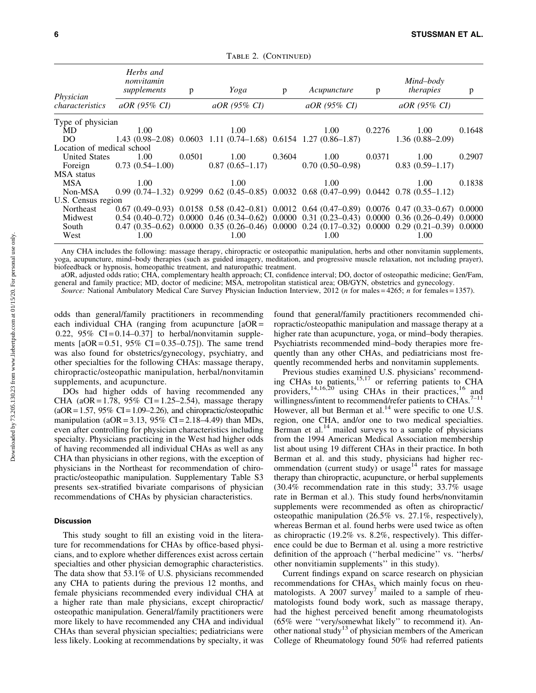| Physician<br>characteristics | Herbs and<br>nonvitamin<br>supplements | p      | Yoga              | p      | Acupuncture                                                                                                    | p      | Mind-body<br>therapies                                                                                | p      |
|------------------------------|----------------------------------------|--------|-------------------|--------|----------------------------------------------------------------------------------------------------------------|--------|-------------------------------------------------------------------------------------------------------|--------|
|                              | $aOR$ (95% CI)                         |        | $aOR$ (95% CI)    |        | $aOR$ (95% CI)                                                                                                 |        | $aOR$ (95% CI)                                                                                        |        |
| Type of physician            |                                        |        |                   |        |                                                                                                                |        |                                                                                                       |        |
| MD.                          | 1.00                                   |        | 1.00              |        | 1.00                                                                                                           | 0.2276 | 1.00                                                                                                  | 0.1648 |
| DO                           |                                        |        |                   |        | $1.43(0.98-2.08)$ 0.0603 1.11 (0.74-1.68) 0.6154 1.27 (0.86-1.87)                                              |        | $1.36(0.88 - 2.09)$                                                                                   |        |
| Location of medical school   |                                        |        |                   |        |                                                                                                                |        |                                                                                                       |        |
| <b>United States</b>         | 1.00                                   | 0.0501 | 1.00              | 0.3604 | 1.00                                                                                                           | 0.0371 | 1.00                                                                                                  | 0.2907 |
| Foreign                      | $0.73(0.54-1.00)$                      |        | $0.87(0.65-1.17)$ |        | $0.70(0.50-0.98)$                                                                                              |        | $0.83(0.59-1.17)$                                                                                     |        |
| <b>MSA</b> status            |                                        |        |                   |        |                                                                                                                |        |                                                                                                       |        |
| <b>MSA</b>                   | 1.00                                   |        | 1.00              |        | 1.00                                                                                                           |        | 1.00                                                                                                  | 0.1838 |
| Non-MSA                      |                                        |        |                   |        | $0.99$ $(0.74-1.32)$ $0.9299$ $0.62$ $(0.45-0.85)$ $0.0032$ $0.68$ $(0.47-0.99)$ $0.0442$ $0.78$ $(0.55-1.12)$ |        |                                                                                                       |        |
| U.S. Census region           |                                        |        |                   |        |                                                                                                                |        |                                                                                                       |        |
| Northeast                    |                                        |        |                   |        |                                                                                                                |        | $0.67(0.49-0.93)$ $0.0158(0.58(0.42-0.81)$ $0.0012(0.64(0.47-0.89)$ $0.0076(0.47(0.33-0.67)$ $0.0000$ |        |
| Midwest                      |                                        |        |                   |        |                                                                                                                |        | $0.54$ (0.40-0.72) 0.0000 0.46 (0.34-0.62) 0.0000 0.31 (0.23-0.43) 0.0000 0.36 (0.26-0.49) 0.0000     |        |
| South                        |                                        |        |                   |        |                                                                                                                |        | $0.47$ (0.35–0.62) 0.0000 0.35 (0.26–0.46) 0.0000 0.24 (0.17–0.32) 0.0000 0.29 (0.21–0.39) 0.0000     |        |
| West                         | 1.00                                   |        | 1.00              |        | 1.00                                                                                                           |        | 1.00                                                                                                  |        |

TABLE 2. (CONTINUED)

Any CHA includes the following: massage therapy, chiropractic or osteopathic manipulation, herbs and other nonvitamin supplements, yoga, acupuncture, mind–body therapies (such as guided imagery, meditation, and progressive muscle relaxation, not including prayer), biofeedback or hypnosis, homeopathic treatment, and naturopathic treatment.

aOR, adjusted odds ratio; CHA, complementary health approach; CI, confidence interval; DO, doctor of osteopathic medicine; Gen/Fam, general and family practice; MD, doctor of medicine; MSA, metropolitan statistical area; OB/GYN, obstetrics and gynecology.

*Source:* National Ambulatory Medical Care Survey Physician Induction Interview, 2012 (*n* for males = 4265; *n* for females = 1357).

odds than general/family practitioners in recommending each individual CHA (ranging from acupuncture  $[aOR =$ 0.22,  $95\%$  CI = 0.14–0.37] to herbal/nonvitamin supplements  $[aOR = 0.51, 95\% \text{ CI} = 0.35 - 0.75]$ . The same trend was also found for obstetrics/gynecology, psychiatry, and other specialties for the following CHAs: massage therapy, chiropractic/osteopathic manipulation, herbal/nonvitamin supplements, and acupuncture.

DOs had higher odds of having recommended any CHA (aOR = 1.78, 95% CI = 1.25–2.54), massage therapy  $(aOR = 1.57, 95\% \text{ CI} = 1.09 - 2.26)$ , and chiropractic/osteopathic manipulation (aOR = 3.13, 95% CI = 2.18–4.49) than MDs, even after controlling for physician characteristics including specialty. Physicians practicing in the West had higher odds of having recommended all individual CHAs as well as any CHA than physicians in other regions, with the exception of physicians in the Northeast for recommendation of chiropractic/osteopathic manipulation. Supplementary Table S3 presents sex-stratified bivariate comparisons of physician recommendations of CHAs by physician characteristics.

#### Discussion

This study sought to fill an existing void in the literature for recommendations for CHAs by office-based physicians, and to explore whether differences exist across certain specialties and other physician demographic characteristics. The data show that 53.1% of U.S. physicians recommended any CHA to patients during the previous 12 months, and female physicians recommended every individual CHA at a higher rate than male physicians, except chiropractic/ osteopathic manipulation. General/family practitioners were more likely to have recommended any CHA and individual CHAs than several physician specialties; pediatricians were less likely. Looking at recommendations by specialty, it was found that general/family practitioners recommended chiropractic/osteopathic manipulation and massage therapy at a higher rate than acupuncture, yoga, or mind–body therapies. Psychiatrists recommended mind–body therapies more frequently than any other CHAs, and pediatricians most frequently recommended herbs and nonvitamin supplements.

Previous studies examined U.S. physicians' recommending CHAs to patients,<sup>15,17</sup> or referring patients to CHA providers,<sup>14,16,20</sup> using CHAs in their practices,<sup>16</sup> and willingness/intent to recommend/refer patients to CHAs.<sup>7-11</sup> However, all but Berman et al.<sup>14</sup> were specific to one U.S. region, one CHA, and/or one to two medical specialties. Berman et al. $14$  mailed surveys to a sample of physicians from the 1994 American Medical Association membership list about using 19 different CHAs in their practice. In both Berman et al. and this study, physicians had higher recommendation (current study) or usage<sup>14</sup> rates for massage therapy than chiropractic, acupuncture, or herbal supplements (30.4% recommendation rate in this study; 33.7% usage rate in Berman et al.). This study found herbs/nonvitamin supplements were recommended as often as chiropractic/ osteopathic manipulation (26.5% vs. 27.1%, respectively), whereas Berman et al. found herbs were used twice as often as chiropractic (19.2% vs. 8.2%, respectively). This difference could be due to Berman et al. using a more restrictive definition of the approach (''herbal medicine'' vs. ''herbs/ other nonvitiamin supplements'' in this study).

Current findings expand on scarce research on physician recommendations for CHAs, which mainly focus on rheumatologists. A 2007 survey<sup>7</sup> mailed to a sample of rheumatologists found body work, such as massage therapy, had the highest perceived benefit among rheumatologists (65% were ''very/somewhat likely'' to recommend it). Another national study<sup>13</sup> of physician members of the American College of Rheumatology found 50% had referred patients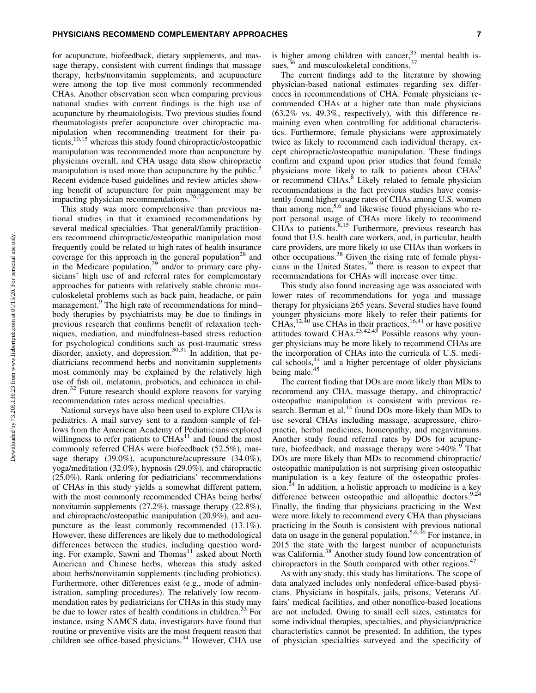#### PHYSICIANS RECOMMEND COMPLEMENTARY APPROACHES **FOUND 12** 7

for acupuncture, biofeedback, dietary supplements, and massage therapy, consistent with current findings that massage therapy, herbs/nonvitamin supplements, and acupuncture were among the top five most commonly recommended CHAs. Another observation seen when comparing previous national studies with current findings is the high use of acupuncture by rheumatologists. Two previous studies found rheumatologists prefer acupuncture over chiropractic manipulation when recommending treatment for their patients,<sup>10,15</sup> whereas this study found chiropractic/osteopathic manipulation was recommended more than acupuncture by physicians overall, and CHA usage data show chiropractic manipulation is used more than acupuncture by the public.<sup>3</sup> Recent evidence-based guidelines and review articles showing benefit of acupuncture for pain management may be impacting physician recommendations.<sup>26,27</sup>

This study was more comprehensive than previous national studies in that it examined recommendations by several medical specialties. That general/family practitioners recommend chiropractic/osteopathic manipulation most frequently could be related to high rates of health insurance coverage for this approach in the general population<sup>28</sup> and in the Medicare population,<sup>29</sup> and/or to primary care physicians' high use of and referral rates for complementary approaches for patients with relatively stable chronic musculoskeletal problems such as back pain, headache, or pain management.<sup>9</sup> The high rate of recommendations for mind– body therapies by psychiatrists may be due to findings in previous research that confirms benefit of relaxation techniques, mediation, and mindfulness-based stress reduction for psychological conditions such as post-traumatic stress disorder, anxiety, and depression.<sup>30,31</sup> In addition, that pediatricians recommend herbs and nonvitamin supplements most commonly may be explained by the relatively high use of fish oil, melatonin, probiotics, and echinacea in children.<sup>32</sup> Future research should explore reasons for varying recommendation rates across medical specialties.

National surveys have also been used to explore CHAs is pediatrics. A mail survey sent to a random sample of fellows from the American Academy of Pediatricians explored willingness to refer patients to  $\check{CHAs}^{11}$  and found the most commonly referred CHAs were biofeedback (52.5%), massage therapy (39.0%), acupuncture/acupressure (34.0%), yoga/meditation (32.0%), hypnosis (29.0%), and chiropractic (25.0%). Rank ordering for pediatricians' recommendations of CHAs in this study yields a somewhat different pattern, with the most commonly recommended CHAs being herbs/ nonvitamin supplements (27.2%), massage therapy (22.8%), and chiropractic/osteopathic manipulation (20.9%), and acupuncture as the least commonly recommended (13.1%). However, these differences are likely due to methodological differences between the studies, including question wording. For example, Sawni and Thomas<sup>11</sup> asked about North American and Chinese herbs, whereas this study asked about herbs/nonvitamin supplements (including probiotics). Furthermore, other differences exist (e.g., mode of administration, sampling procedures). The relatively low recommendation rates by pediatricians for CHAs in this study may be due to lower rates of health conditions in children.<sup>33</sup> For instance, using NAMCS data, investigators have found that routine or preventive visits are the most frequent reason that children see office-based physicians.<sup>34</sup> However, CHA use is higher among children with cancer, $35$  mental health issues, $36$  and musculoskeletal conditions. $37$ 

The current findings add to the literature by showing physician-based national estimates regarding sex differences in recommendations of CHA. Female physicians recommended CHAs at a higher rate than male physicians (63.2% vs. 49.3%, respectively), with this difference remaining even when controlling for additional characteristics. Furthermore, female physicians were approximately twice as likely to recommend each individual therapy, except chiropractic/osteopathic manipulation. These findings confirm and expand upon prior studies that found female physicians more likely to talk to patients about CHAs<sup>9</sup> or recommend CHAs.<sup>8</sup> Likely related to female physician recommendations is the fact previous studies have consistently found higher usage rates of CHAs among U.S. women than among men,<sup>5,6</sup> and likewise found physicians who report personal usage of CHAs more likely to recommend CHAs to patients. $8,15$  Furthermore, previous research has found that U.S. health care workers, and, in particular, health care providers, are more likely to use CHAs than workers in other occupations.<sup>38</sup> Given the rising rate of female physicians in the United States,<sup>39</sup> there is reason to expect that recommendations for CHAs will increase over time.

This study also found increasing age was associated with lower rates of recommendations for yoga and massage therapy for physicians  $\geq 65$  years. Several studies have found younger physicians more likely to refer their patients for  $CHAs$ ,<sup>12,40</sup> use CHAs in their practices,<sup>16,41</sup> or have positive attitudes toward CHAs.<sup>23,42,43</sup> Possible reasons why younger physicians may be more likely to recommend CHAs are the incorporation of CHAs into the curricula of U.S. medical schools,<sup>44</sup> and a higher percentage of older physicians being male.<sup>45</sup>

The current finding that DOs are more likely than MDs to recommend any CHA, massage therapy, and chiropractic/ osteopathic manipulation is consistent with previous research. Berman et al.<sup>14</sup> found DOs more likely than MDs to use several CHAs including massage, acupressure, chiropractic, herbal medicines, homeopathy, and megavitamins. Another study found referral rates by DOs for acupuncture, biofeedback, and massage therapy were  $>40\%$ . That DOs are more likely than MDs to recommend chiropractic/ osteopathic manipulation is not surprising given osteopathic manipulation is a key feature of the osteopathic profession.<sup>24</sup> In addition, a holistic approach to medicine is a key difference between osteopathic and allopathic doctors.<sup>9,24</sup> Finally, the finding that physicians practicing in the West were more likely to recommend every CHA than physicians practicing in the South is consistent with previous national data on usage in the general population.<sup>5,6,46</sup> For instance, in 2015 the state with the largest number of acupuncturists was California.<sup>38</sup> Another study found low concentration of chiropractors in the South compared with other regions.<sup>47</sup>

As with any study, this study has limitations. The scope of data analyzed includes only nonfederal office-based physicians. Physicians in hospitals, jails, prisons, Veterans Affairs' medical facilities, and other nonoffice-based locations are not included. Owing to small cell sizes, estimates for some individual therapies, specialties, and physician/practice characteristics cannot be presented. In addition, the types of physician specialties surveyed and the specificity of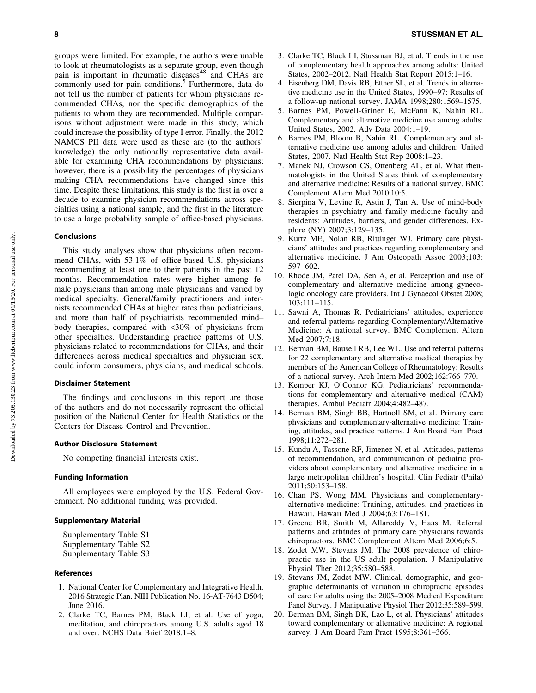groups were limited. For example, the authors were unable to look at rheumatologists as a separate group, even though pain is important in rheumatic diseases<sup>48</sup> and CHAs are commonly used for pain conditions.<sup>5</sup> Furthermore, data do not tell us the number of patients for whom physicians recommended CHAs, nor the specific demographics of the patients to whom they are recommended. Multiple comparisons without adjustment were made in this study, which could increase the possibility of type I error. Finally, the 2012 NAMCS PII data were used as these are (to the authors' knowledge) the only nationally representative data available for examining CHA recommendations by physicians; however, there is a possibility the percentages of physicians making CHA recommendations have changed since this time. Despite these limitations, this study is the first in over a decade to examine physician recommendations across specialties using a national sample, and the first in the literature to use a large probability sample of office-based physicians.

# Conclusions

This study analyses show that physicians often recommend CHAs, with 53.1% of office-based U.S. physicians recommending at least one to their patients in the past 12 months. Recommendation rates were higher among female physicians than among male physicians and varied by medical specialty. General/family practitioners and internists recommended CHAs at higher rates than pediatricians, and more than half of psychiatrists recommended mind– body therapies, compared with <30% of physicians from other specialties. Understanding practice patterns of U.S. physicians related to recommendations for CHAs, and their differences across medical specialties and physician sex, could inform consumers, physicians, and medical schools.

# Disclaimer Statement

The findings and conclusions in this report are those of the authors and do not necessarily represent the official position of the National Center for Health Statistics or the Centers for Disease Control and Prevention.

# Author Disclosure Statement

No competing financial interests exist.

#### Funding Information

All employees were employed by the U.S. Federal Government. No additional funding was provided.

# Supplementary Material

Supplementary Table S1 Supplementary Table S2 Supplementary Table S3

# References

- 1. National Center for Complementary and Integrative Health. 2016 Strategic Plan. NIH Publication No. 16-AT-7643 D504; June 2016.
- 2. Clarke TC, Barnes PM, Black LI, et al. Use of yoga, meditation, and chiropractors among U.S. adults aged 18 and over. NCHS Data Brief 2018:1–8.
- 3. Clarke TC, Black LI, Stussman BJ, et al. Trends in the use of complementary health approaches among adults: United States, 2002–2012. Natl Health Stat Report 2015:1–16.
- 4. Eisenberg DM, Davis RB, Ettner SL, et al. Trends in alternative medicine use in the United States, 1990–97: Results of a follow-up national survey. JAMA 1998;280:1569–1575.
- 5. Barnes PM, Powell-Griner E, McFann K, Nahin RL. Complementary and alternative medicine use among adults: United States, 2002. Adv Data 2004:1–19.
- 6. Barnes PM, Bloom B, Nahin RL. Complementary and alternative medicine use among adults and children: United States, 2007. Natl Health Stat Rep 2008:1–23.
- 7. Manek NJ, Crowson CS, Ottenberg AL, et al. What rheumatologists in the United States think of complementary and alternative medicine: Results of a national survey. BMC Complement Altern Med 2010;10:5.
- 8. Sierpina V, Levine R, Astin J, Tan A. Use of mind-body therapies in psychiatry and family medicine faculty and residents: Attitudes, barriers, and gender differences. Explore (NY) 2007;3:129–135.
- 9. Kurtz ME, Nolan RB, Rittinger WJ. Primary care physicians' attitudes and practices regarding complementary and alternative medicine. J Am Osteopath Assoc 2003;103: 597–602.
- 10. Rhode JM, Patel DA, Sen A, et al. Perception and use of complementary and alternative medicine among gynecologic oncology care providers. Int J Gynaecol Obstet 2008; 103:111–115.
- 11. Sawni A, Thomas R. Pediatricians' attitudes, experience and referral patterns regarding Complementary/Alternative Medicine: A national survey. BMC Complement Altern Med 2007;7:18.
- 12. Berman BM, Bausell RB, Lee WL. Use and referral patterns for 22 complementary and alternative medical therapies by members of the American College of Rheumatology: Results of a national survey. Arch Intern Med 2002;162:766–770.
- 13. Kemper KJ, O'Connor KG. Pediatricians' recommendations for complementary and alternative medical (CAM) therapies. Ambul Pediatr 2004;4:482–487.
- 14. Berman BM, Singh BB, Hartnoll SM, et al. Primary care physicians and complementary-alternative medicine: Training, attitudes, and practice patterns. J Am Board Fam Pract 1998;11:272–281.
- 15. Kundu A, Tassone RF, Jimenez N, et al. Attitudes, patterns of recommendation, and communication of pediatric providers about complementary and alternative medicine in a large metropolitan children's hospital. Clin Pediatr (Phila) 2011;50:153–158.
- 16. Chan PS, Wong MM. Physicians and complementaryalternative medicine: Training, attitudes, and practices in Hawaii. Hawaii Med J 2004;63:176–181.
- 17. Greene BR, Smith M, Allareddy V, Haas M. Referral patterns and attitudes of primary care physicians towards chiropractors. BMC Complement Altern Med 2006;6:5.
- 18. Zodet MW, Stevans JM. The 2008 prevalence of chiropractic use in the US adult population. J Manipulative Physiol Ther 2012;35:580–588.
- 19. Stevans JM, Zodet MW. Clinical, demographic, and geographic determinants of variation in chiropractic episodes of care for adults using the 2005–2008 Medical Expenditure Panel Survey. J Manipulative Physiol Ther 2012;35:589–599.
- 20. Berman BM, Singh BK, Lao L, et al. Physicians' attitudes toward complementary or alternative medicine: A regional survey. J Am Board Fam Pract 1995;8:361–366.